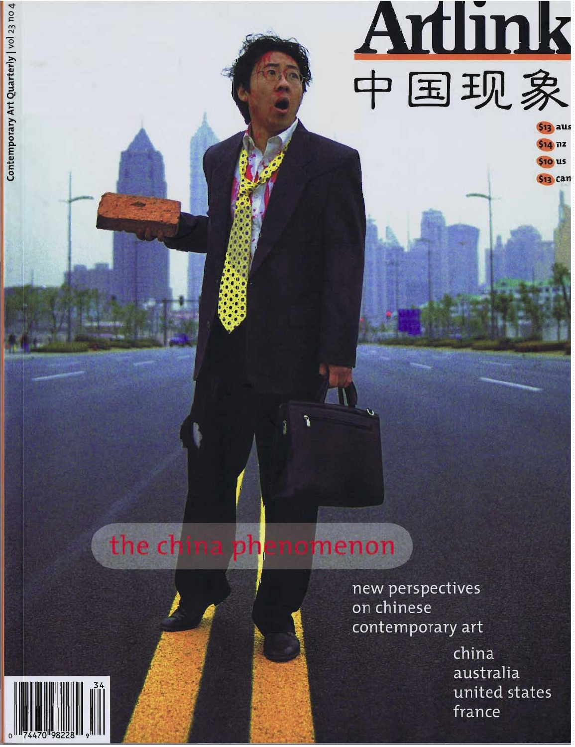## the china phenomenon

new perspectives on chinese contemporary art

Artlink

\$13 aus  $$14$  nz **\$10 us \$13 can** 

china australia united states france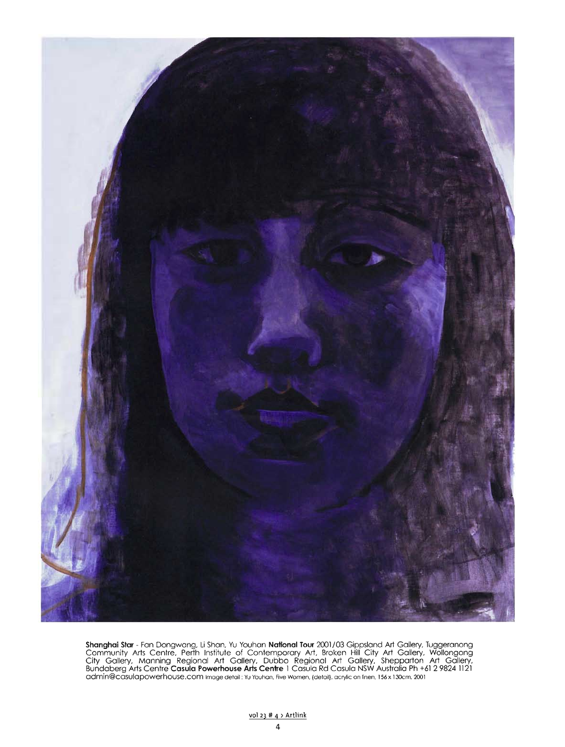

**Shanghai Star** - Fan Dongwang, Li Shan, Yu Youhan **National Tour** 2001/03 Gippsland Art Gallery, luggeranong<br>Community Arts Centre, Perth Institute of Contemporary Art, Broken Hill City Art Gallery, Wollongong<br>City Galler Bundaberg Arts Centre **Casula Powerhouse Arts Centre** T Casula Rd Casula NSW Australia Ph +61 2 9824 1121<br>admin@casulapowerhouse.com Image detail : Yu Youhan, Five Women, (detail), acrylic on linen, 156 x 130cm, 2001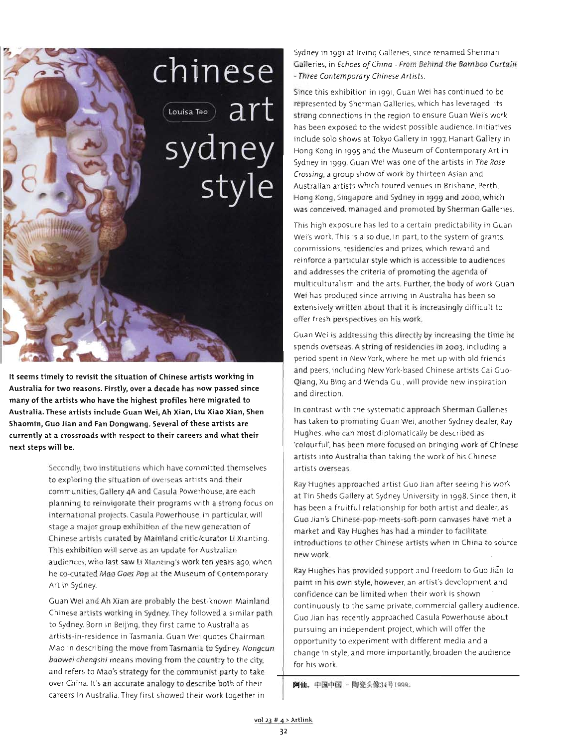

It seems timely to revisit the situation of Chinese artists working in Australia for two reasons. Firstly, over a decade has now passed since many of the artists who have the highest profiles here migrated to Australia. These artists include Guan Wei, Ah Xian, Liu Xiao Xian, Shen Shaomin, Guo Jian and Fan Dongwang. Several of these artists are currently at a crossroads with respect to their careers and what their next steps will be.

> Secondly. two institutions which have committed themselves to exploring the situation of overseas artists and their communities. Gallery 4A and Casula Powerhouse. are each planning to reinvigorate their programs with a strong focus on international projects. Casula Powerhouse. in particular. will stage a major group exhibition of the new generation of Chinese artists curated by Mainland critic/curator li Xianting. This exhibition will serve as an update for Australian audiences, who last saw li Xianting's work ten years ago. when he co-curated Mao Goes Pop at the Museum of Contemporary Art in Sydney.

> Guan Wei and Ah Xian are probably the best-known Mainland Chinese artists working in Sydney. They followed a similar path to Sydney. Born in Beijing, they first came to Australia as artists-in-residence in Tasmania. Guan Wei quotes Chairman Mao in describing the move from Tasmania to Sydney. Nongcun baowei chengshi means moving from the country to the city, and refers to Mao's strategy for the communist party to take over China. It's an accurate analogy to describe both of their careers in Australia. They first showed their work together in

Sydney in 1991 at Irving Galleries, since renamed Sherman Galleries, in Echoes of China - From Behind the Bamboo Curtain - Three Contemporary Chinese Artists.

Since this exhibition in '991, Guan Wei has continued to be represented by Sherman Galleries, which has leveraged its strong connections in the region to ensure Guan Wei's work has been exposed to the widest possible audience. Initiatives include solo shows at Tokyo Gallery in '997, Hanart Gallery in Hong Kong in '99S and the Museum of Contemporary Art in Sydney in '999. Guan Wei was one of the artists in The Rose Crossing, a group show of work by thirteen Asian and Australian artists which toured venues in Brisbane, Perth, Hong Kong, Singapore and Sydney in '999 and 2000. which was conceived. managed and promoted by Sherman Galleries.

This high exposure has led to a certain predictability in Guan Wei's work. This is also due. in part. to the system of grants, commissions, residencies and prizes, which reward and reinforce a particular style which is accessible to audiences and addresses the criteria of promoting the agenda of multiculturalism and the arts. Further, the body of work Guan Wei has produced since arriving in Australia has been so extensively written about that it is increasingly difficult to offer fresh perspectives on his work.

Guan Wei is addressing this directly by increasing the time he spends overseas. Astring of residencies in 2003, including a period spent in New York, where he met up with old friends and peers, including New York-based Chinese artists Cai Guo-Qiang, Xu Bing and Wenda Gu .will provide new inspiration and direction.

In contrast with the systematic approach Sherman Galleries has taken to promoting Guan Wei. another Sydney dealer, Ray Hughes, who can most diplomatically be described as ·colourful'. has been more focused on bringing work of Chinese artists into Australia than taking the work of his Chinese artists overseas.

Ray Hughes approached artist Guo Jian after seeing his work at Tin Sheds Gallery at Sydney University in 1998. Since then. it has been a fruitful relationship for both artist and dealer. as Guo Jian's Chinese-pop-meets-soft-porn canvases have met a market and Ray Hughes has had a minder to facilitate introductions to other Chinese artists when in China to source new work.

Ray Hughes has proVided support and freedom to Guo Jian to paint in his own style. however, an artist's development and confidence can be limited when their work is shown continuously to the same private, commercial gallery audience. Guo Jian has recently approached Casula Powerhouse about pursuing an independent project, which will offer the opportunity to experiment with different media and a change in style, and more importantly, broaden the audience for his work.

阿仙、中国中国 - 陶瓷头像显号1999。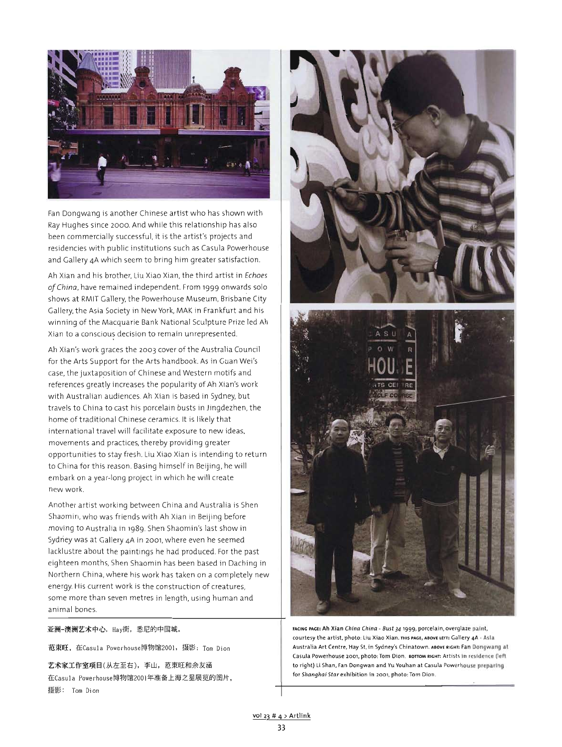

Fan Dongwang is another Chinese artist who has shown with Ray Hughes since 2000. And while this relationship has also been commercially successful, it is the artist's projects and residencies with public institutions such as Casula Powerhouse and Gallery 4A which seem to bring him greater satisfaction.

Ah Xian and his brother, Liu Xiao Xian, the third artist in Echoes *ofChina,* have remained independent. From '999 onwards solo shows at RMIT Gallery, the Powerhouse Museum, Brisbane City Gallery, the Asia Society in New York, MAK in Frankfurt and his winning of the Macquarie Bank National Sculpture Prize led Ah Xian to a conscious decision to remain unrepresented.

Ah Xian's work graces the 2003 cover of the Australia Council for the Arts Support for the Arts handbook. As in Guan Wei's case, the juxtaposition of Chinese and Western motifs and references greatly increases the popularity of Ah Xian's work with Australian audiences. Ah Xian is based in Sydney, but travels to China to cast his porcelain busts in Jingdezhen, the home of traditional Chinese ceramics. It is likely that international travel will facilitate exposure to new ideas, movements and practices, thereby providing greater opportunities to stay fresh. Liu Xiao Xian is intending to return to China for this reason. Basing himself in Beijing, he will embark on a year-long project in which he will create new work.

Another artist working between China and Australia is Shen Shaomin, who was friends with Ah Xian in Beijing before moving to Australia in '989. Shen Shaomin's last show in Sydney was at Gallery 4A in 2001, where even he seemed lacklustre about the paintings he had produced. For the past eighteen months, Shen Shaomin has been based in Daching in Northern China, where his work has taken on a completely new energy. His current work is the construction of creatures, some more than seven metres in length, using human and animal bones.

亚洲-澳洲艺术中心, Hav街, 悉尼的中国城。

范束旺, 在Casula Powerhouse博物馆2001, 摄影: Tom Dion

艺术家工作室项目(从左至右), 李山, 范東旺和余友涵 在Casula Powerhouse博物馆2001年准备上海之星展览的图片, 摄影: Tom Dion





**FACING PAGE: Ah Xian China China - Bust 34 '999, porcelain, overglaze paint, courtesy the artist, photo: Uu Xiao Xian. THIS PAGE, ABOVE LEfT: Gallery 4A· Asia** Australia Art Centre, Hay St, in Sydney's Chinatown. ABOVE RIGHT: Fan Dongwang al Casula Powerhouse 2001, photo: Tom Dion. воттом вынг: Artists in residence (left to right) Li Shan, Fan Dongwan and Yu Youhan at Casula Powerhouse preparing **fOT Shanghai Star exhibition in 2001, photo: Tom Dien.**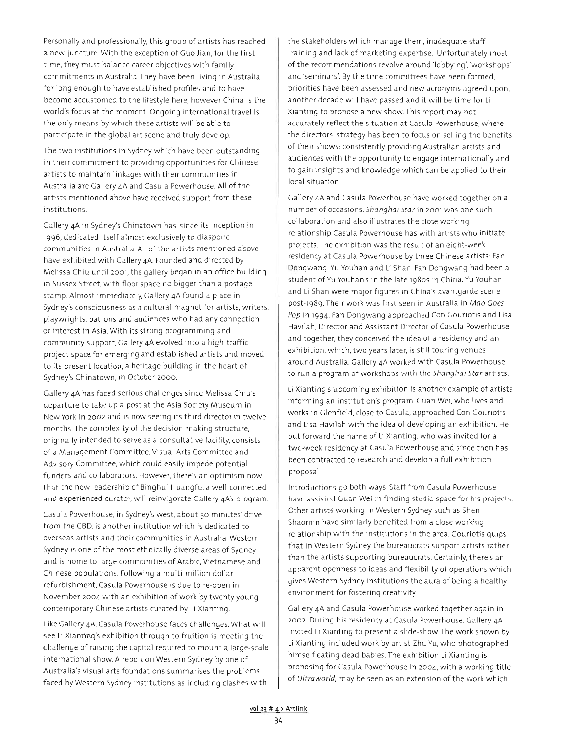Personally and professionally, this group of artists has reached a new juncture. With the exception of Guo Jian, for the first time, they must balance career objectives with family commitments in Australia. They have been living in Australia for long enough to have established profiles and to have become accustomed to the lifestyle here, however China is the world's focus at the moment. Ongoing international travel is the only means by which these artists will be able to participate in the global art scene and truly develop.

The two institutions in Sydney which have been outstanding in their commitment to providing opportunities for Chinese artists to maintain linkages with their communities in Australia are Gallery 4A and Casula Powerhouse. All of the artists mentioned above have received support from these institutions.

Gallery 4A in Sydney's Chinatown has, since its inception in 1996, dedicated itself almost exclusively to diasporic communities in Australia. All of the artists mentioned above have exhibited with Gallery 4A. Founded and directed by Melissa Chiu until 2001, the gallery began in an office building in Sussex Street, with floor space no bigger than a postage stamp. Almost immediately, Gallery 4A found a place in Sydney's consciousness as a cultural magnet for artists, writers, playwrights, patrons and audiences who had any connection or interest in Asia. With its strong programming and community support, Gallery 4A evolved into a high-traffic project space for emerging and established artists and moved to its present location, a heritage building in the heart of Sydney's Chinatown, in October 2000.

Gallery 4A has faced serious challenges since Melissa Chiu's departure to take up a post at the Asia Society Museum in New York in 2002 and is now seeing its third director in twelve months. The complexity of the decision-making structure, originally intended to serve as a consultative facility, consists of a Management Committee, Visual Arts Committee and Advisory Committee, which could easily impede potential funders and collaborators. However, there's an optimism now that the new leadership of Binghui Huangfu, a well-connected and experienced curator, will reinvigorate Gallery 4A's program.

Casula Powerhouse, in Sydney's west, about 50 minutes' drive from the CBD, is another institution which is dedicated to overseas artists and their communities in Australia. Western Sydney is one of the most ethnically diverse areas of Sydney and is home to large communities of Arabic, Vietnamese and Chinese populations. Following a multi-million dollar refurbishment, Casula Powerhouse is due to re-open in November 2004 with an exhibition of work by twenty young contemporary Chinese artists curated by Li Xianting.

Like Gallery 4A, Casula Powerhouse faces challenges. What will see Li Xianting's exhibition through to fruition is meeting the challenge of raising the capital required to mount a large-scale international show. A report on Western Sydney by one of Australia's visual arts foundations summarises the problems faced by Western Sydney institutions as including clashes with the stakeholders which manage them, inadequate staff training and lack of marketing expertise.' Unfortunately most of the recommendations revolve around 'lobbying', 'workshops' and 'seminars'. By the time committees have been formed, priorities have been assessed and new acronyms agreed upon, another decade will have passed and it will be time for Li Xianting to propose a new show. This report may not accurately reflect the situation at Casula Powerhouse, where the directors' strategy has been to focus on selling the benefits of their shows: consistently providing Australian artists and audiences with the opportunity to engage internationally and to gain insights and knowledge which can be applied to their local situation.

Gallery 4A and Casula Powerhouse have worked together on a number of occasions. Shanghai Star in 2001 was one such collaboration and also illustrates the close working relationship Casula Powerhouse has with artists who initiate projects. The exhibition was the result of an eight-week residency at Casula Powerhouse by three Chinese artists: Fan Dongwang, Yu Youhan and Li Shan. Fan Dongwang had been a student of Yu Youhan's in the late 1980s in China. Yu Youhan and Li Shan were major figures in China's avantgarde scene post-lg89. Their work was first seen in Australia in Mao Goes Pop in 1994. Fan Dongwang approached Con Gouriotis and Lisa Havilah, Director and Assistant Director of Casula Powerhouse and together, they conceived the idea of a residency and an exhibition, which, two years later, is still touring venues around Australia. Gallery 4A worked with Casula Powerhouse to run a program of workshops with the Shanghai Star artists.

Li Xianting's upcoming exhibition is another example of artists informing an institution's program. Guan Wei, who lives and works in Glenfield, close to Casula, approached Con Gouriotis and Lisa Havilah with the idea of developing an exhibition. He put forward the name of Li Xianting, who was invited for a two-week residency at Casula Powerhouse and since then has been contracted to research and develop a full exhibition proposal.

Introductions go both ways. Staff from Casula Powerhouse have assisted Guan Wei in finding studio space for his projects. Other artists working in Western Sydney such as Shen Shaomin have similarly benefited from a close working relationship with the institutions in the area. Gouriotis quips that in Western Sydney the bureaucrats support artists rather than the artists supporting bureaucrats. Certainly, there's an apparent openness to ideas and flexibility of operations which gives Western Sydney institutions the aura of being a healthy environment for fostering creativity.

Gallery 4A and Casula Powerhouse worked together again in 2002. During his residency at Casula Powerhouse, Gallery 4A invited Li Xianting to present a slide-show. The work shown by Li Xianting included work by artist Zhu Vu, who photographed himself eating dead babies. The exhibition Li Xianting is proposing for Casula Powerhouse in 2004, with a working title of Ultraworld, may be seen as an extension of the work which